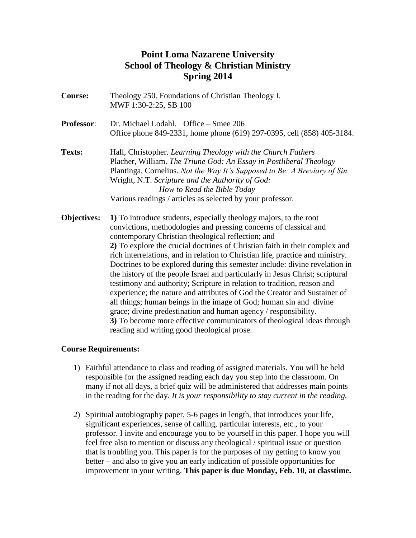# **Point Loma Nazarene University School of Theology & Christian Ministry Spring 2014**

| <b>Course:</b>     | Theology 250. Foundations of Christian Theology I.<br>MWF 1:30-2:25, SB 100                                                                                                                                                                                                                                                                                                                                                                                                                                                                                                                                                                                                                                                                                                                                                                                                                                                                             |
|--------------------|---------------------------------------------------------------------------------------------------------------------------------------------------------------------------------------------------------------------------------------------------------------------------------------------------------------------------------------------------------------------------------------------------------------------------------------------------------------------------------------------------------------------------------------------------------------------------------------------------------------------------------------------------------------------------------------------------------------------------------------------------------------------------------------------------------------------------------------------------------------------------------------------------------------------------------------------------------|
| <b>Professor:</b>  | Dr. Michael Lodahl. Office – Smee 206<br>Office phone 849-2331, home phone (619) 297-0395, cell (858) 405-3184.                                                                                                                                                                                                                                                                                                                                                                                                                                                                                                                                                                                                                                                                                                                                                                                                                                         |
| Texts:             | Hall, Christopher. Learning Theology with the Church Fathers<br>Placher, William. The Triune God: An Essay in Postliberal Theology<br>Plantinga, Cornelius. Not the Way It's Supposed to Be: A Breviary of Sin<br>Wright, N.T. Scripture and the Authority of God:<br>How to Read the Bible Today<br>Various readings / articles as selected by your professor.                                                                                                                                                                                                                                                                                                                                                                                                                                                                                                                                                                                         |
| <b>Objectives:</b> | 1) To introduce students, especially theology majors, to the root<br>convictions, methodologies and pressing concerns of classical and<br>contemporary Christian theological reflection; and<br>2) To explore the crucial doctrines of Christian faith in their complex and<br>rich interrelations, and in relation to Christian life, practice and ministry.<br>Doctrines to be explored during this semester include: divine revelation in<br>the history of the people Israel and particularly in Jesus Christ; scriptural<br>testimony and authority; Scripture in relation to tradition, reason and<br>experience; the nature and attributes of God the Creator and Sustainer of<br>all things; human beings in the image of God; human sin and divine<br>grace; divine predestination and human agency / responsibility.<br>3) To become more effective communicators of theological ideas through<br>reading and writing good theological prose. |

# **Course Requirements:**

- 1) Faithful attendance to class and reading of assigned materials. You will be held responsible for the assigned reading each day you step into the classroom. On many if not all days, a brief quiz will be administered that addresses main points in the reading for the day. *It is your responsibility to stay current in the reading.*
- 2) Spiritual autobiography paper, 5-6 pages in length, that introduces your life, significant experiences, sense of calling, particular interests, etc., to your professor. I invite and encourage you to be yourself in this paper. I hope you will feel free also to mention or discuss any theological / spiritual issue or question that is troubling you. This paper is for the purposes of my getting to know you better – and also to give you an early indication of possible opportunities for improvement in your writing. **This paper is due Monday, Feb. 10, at classtime.**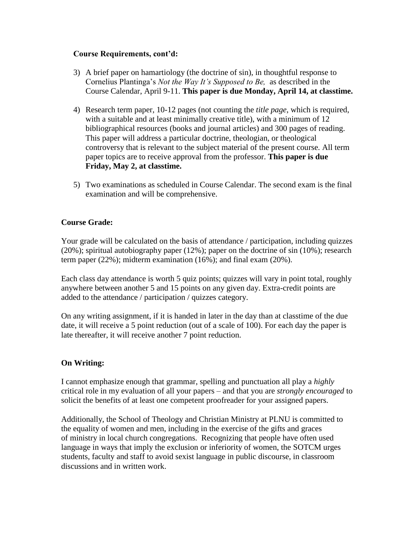#### **Course Requirements, cont'd:**

- 3) A brief paper on hamartiology (the doctrine of sin), in thoughtful response to Cornelius Plantinga's *Not the Way It's Supposed to Be,* as described in the Course Calendar, April 9-11. **This paper is due Monday, April 14, at classtime.**
- 4) Research term paper, 10-12 pages (not counting the *title page*, which is required, with a suitable and at least minimally creative title), with a minimum of 12 bibliographical resources (books and journal articles) and 300 pages of reading. This paper will address a particular doctrine, theologian, or theological controversy that is relevant to the subject material of the present course. All term paper topics are to receive approval from the professor. **This paper is due Friday, May 2, at classtime.**
- 5) Two examinations as scheduled in Course Calendar. The second exam is the final examination and will be comprehensive.

# **Course Grade:**

Your grade will be calculated on the basis of attendance / participation, including quizzes (20%); spiritual autobiography paper (12%); paper on the doctrine of sin (10%); research term paper (22%); midterm examination (16%); and final exam (20%).

Each class day attendance is worth 5 quiz points; quizzes will vary in point total, roughly anywhere between another 5 and 15 points on any given day. Extra-credit points are added to the attendance / participation / quizzes category.

On any writing assignment, if it is handed in later in the day than at classtime of the due date, it will receive a 5 point reduction (out of a scale of 100). For each day the paper is late thereafter, it will receive another 7 point reduction.

# **On Writing:**

I cannot emphasize enough that grammar, spelling and punctuation all play a *highly*  critical role in my evaluation of all your papers – and that you are *strongly encouraged* to solicit the benefits of at least one competent proofreader for your assigned papers.

Additionally, the School of Theology and Christian Ministry at PLNU is committed to the equality of women and men, including in the exercise of the gifts and graces of ministry in local church congregations. Recognizing that people have often used language in ways that imply the exclusion or inferiority of women, the SOTCM urges students, faculty and staff to avoid sexist language in public discourse, in classroom discussions and in written work.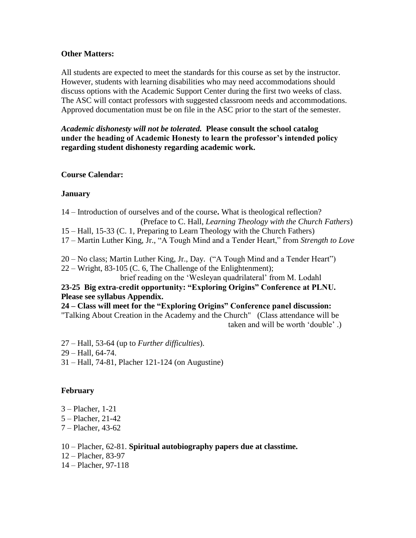#### **Other Matters:**

All students are expected to meet the standards for this course as set by the instructor. However, students with learning disabilities who may need accommodations should discuss options with the Academic Support Center during the first two weeks of class. The ASC will contact professors with suggested classroom needs and accommodations. Approved documentation must be on file in the ASC prior to the start of the semester.

*Academic dishonesty will not be tolerated.* **Please consult the school catalog under the heading of Academic Honesty to learn the professor's intended policy regarding student dishonesty regarding academic work.**

#### **Course Calendar:**

#### **January**

14 – Introduction of ourselves and of the course**.** What is theological reflection? (Preface to C. Hall, *Learning Theology with the Church Fathers*) 15 – Hall, 15-33 (C. 1, Preparing to Learn Theology with the Church Fathers) 17 – Martin Luther King, Jr., "A Tough Mind and a Tender Heart," from *Strength to Love*

20 – No class; Martin Luther King, Jr., Day. ("A Tough Mind and a Tender Heart") 22 – Wright, 83-105 (C. 6, The Challenge of the Enlightenment);

brief reading on the 'Wesleyan quadrilateral' from M. Lodahl

# **23-25 Big extra-credit opportunity: "Exploring Origins" Conference at PLNU. Please see syllabus Appendix.**

**24 – Class will meet for the "Exploring Origins" Conference panel discussion:**  "Talking About Creation in the Academy and the Church" (Class attendance will be

taken and will be worth 'double' .)

27 – Hall, 53-64 (up to *Further difficulties*). 29 – Hall, 64-74. 31 – Hall, 74-81, Placher 121-124 (on Augustine)

# **February**

- 3 Placher, 1-21
- 5 Placher, 21-42
- 7 Placher, 43-62

10 – Placher, 62-81. **Spiritual autobiography papers due at classtime.**

- 12 Placher, 83-97
- 14 Placher, 97-118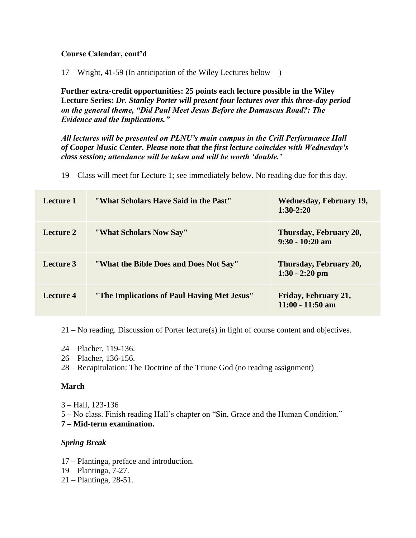# **Course Calendar, cont'd**

17 – Wright, 41-59 (In anticipation of the Wiley Lectures below – )

**Further extra-credit opportunities: 25 points each lecture possible in the Wiley Lecture Series:** *Dr. Stanley Porter will present four lectures over this three-day period on the general theme, "Did Paul Meet Jesus Before the Damascus Road?: The Evidence and the Implications."*

*All lectures will be presented on PLNU's main campus in the Crill Performance Hall of Cooper Music Center. Please note that the first lecture coincides with Wednesday's class session; attendance will be taken and will be worth 'double.'*

19 – Class will meet for Lecture 1; see immediately below. No reading due for this day.

| Lecture 1 | "What Scholars Have Said in the Past"       | <b>Wednesday, February 19,</b><br>$1:30-2:20$ |
|-----------|---------------------------------------------|-----------------------------------------------|
| Lecture 2 | "What Scholars Now Say"                     | Thursday, February 20,<br>$9:30 - 10:20$ am   |
| Lecture 3 | "What the Bible Does and Does Not Say"      | Thursday, February 20,<br>$1:30 - 2:20$ pm    |
| Lecture 4 | "The Implications of Paul Having Met Jesus" | Friday, February 21,<br>$11:00 - 11:50$ am    |

21 – No reading. Discussion of Porter lecture(s) in light of course content and objectives.

- 24 Placher, 119-136.
- 26 Placher, 136-156.
- 28 Recapitulation: The Doctrine of the Triune God (no reading assignment)

#### **March**

3 – Hall, 123-136

5 – No class. Finish reading Hall's chapter on "Sin, Grace and the Human Condition."

**7 – Mid-term examination.**

# *Spring Break*

- 17 Plantinga, preface and introduction.
- 19 Plantinga, 7-27.
- 21 Plantinga, 28-51.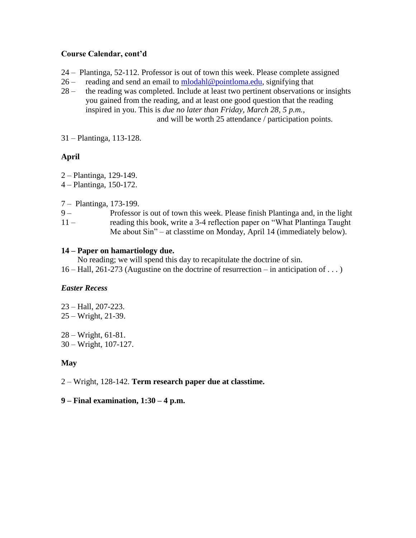#### **Course Calendar, cont'd**

- 24 Plantinga, 52-112. Professor is out of town this week. Please complete assigned
- 26 reading and send an email to  $\frac{\text{mlodahl@pointloma.edu}}{\text{mlodahl@pointloma.edu}}$ , signifying that
- 28 the reading was completed. Include at least two pertinent observations or insights you gained from the reading, and at least one good question that the reading inspired in you. This is *due no later than Friday, March 28, 5 p.m.*, and will be worth 25 attendance / participation points.

31 – Plantinga, 113-128.

# **April**

- 2 Plantinga, 129-149.
- 4 Plantinga, 150-172.
- 7 Plantinga, 173-199.
- 9 Professor is out of town this week. Please finish Plantinga and, in the light 11 – reading this book, write a 3-4 reflection paper on "What Plantinga Taught Me about Sin" – at classtime on Monday, April 14 (immediately below).

#### **14 – Paper on hamartiology due.**

 No reading; we will spend this day to recapitulate the doctrine of sin. 16 – Hall, 261-273 (Augustine on the doctrine of resurrection – in anticipation of . . . )

# *Easter Recess*

23 – Hall, 207-223. 25 – Wright, 21-39.

28 – Wright, 61-81. 30 – Wright, 107-127.

#### **May**

2 – Wright, 128-142. **Term research paper due at classtime.**

#### **9 – Final examination, 1:30 – 4 p.m.**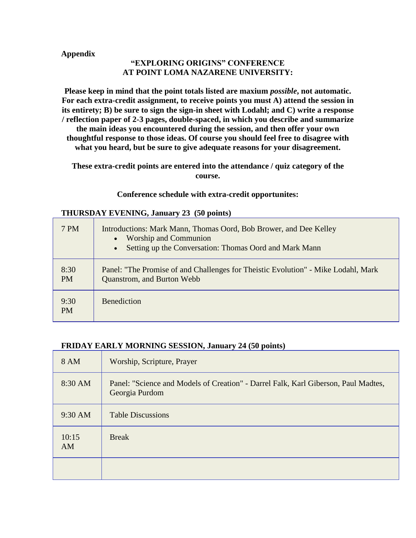#### **Appendix**

# **"EXPLORING ORIGINS" CONFERENCE AT POINT LOMA NAZARENE UNIVERSITY:**

**Please keep in mind that the point totals listed are maxium** *possible***, not automatic. For each extra-credit assignment, to receive points you must A) attend the session in its entirety; B) be sure to sign the sign-in sheet with Lodahl; and C) write a response / reflection paper of 2-3 pages, double-spaced, in which you describe and summarize the main ideas you encountered during the session, and then offer your own thoughtful response to those ideas. Of course you should feel free to disagree with what you heard, but be sure to give adequate reasons for your disagreement.**

**These extra-credit points are entered into the attendance / quiz category of the course.**

#### **Conference schedule with extra-credit opportunites:**

#### **THURSDAY EVENING, January 23 (50 points)**

| 7 PM              | Introductions: Mark Mann, Thomas Oord, Bob Brower, and Dee Kelley<br>• Worship and Communion<br>Setting up the Conversation: Thomas Oord and Mark Mann<br>$\bullet$ |
|-------------------|---------------------------------------------------------------------------------------------------------------------------------------------------------------------|
| 8:30<br><b>PM</b> | Panel: "The Promise of and Challenges for Theistic Evolution" - Mike Lodahl, Mark<br>Quanstrom, and Burton Webb                                                     |
| 9:30<br><b>PM</b> | <b>Benediction</b>                                                                                                                                                  |

#### **FRIDAY EARLY MORNING SESSION, January 24 (50 points)**

| 8 AM        | Worship, Scripture, Prayer                                                                           |
|-------------|------------------------------------------------------------------------------------------------------|
| 8:30 AM     | Panel: "Science and Models of Creation" - Darrel Falk, Karl Giberson, Paul Madtes,<br>Georgia Purdom |
| 9:30 AM     | <b>Table Discussions</b>                                                                             |
| 10:15<br>AM | <b>Break</b>                                                                                         |
|             |                                                                                                      |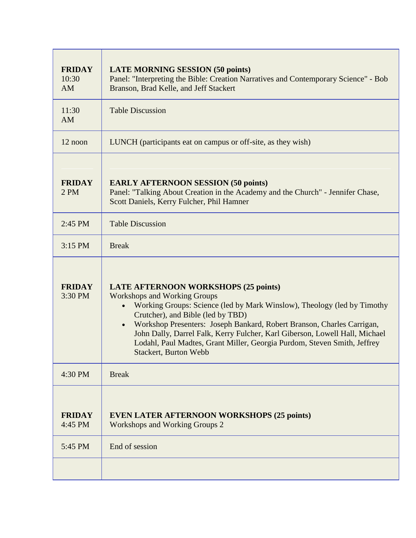| <b>LATE MORNING SESSION (50 points)</b><br>Panel: "Interpreting the Bible: Creation Narratives and Contemporary Science" - Bob<br>Branson, Brad Kelle, and Jeff Stackert                                                                                                                                                                                                                                                                                                |
|-------------------------------------------------------------------------------------------------------------------------------------------------------------------------------------------------------------------------------------------------------------------------------------------------------------------------------------------------------------------------------------------------------------------------------------------------------------------------|
| <b>Table Discussion</b>                                                                                                                                                                                                                                                                                                                                                                                                                                                 |
| LUNCH (participants eat on campus or off-site, as they wish)                                                                                                                                                                                                                                                                                                                                                                                                            |
| <b>EARLY AFTERNOON SESSION (50 points)</b><br>Panel: "Talking About Creation in the Academy and the Church" - Jennifer Chase,<br>Scott Daniels, Kerry Fulcher, Phil Hamner                                                                                                                                                                                                                                                                                              |
| <b>Table Discussion</b>                                                                                                                                                                                                                                                                                                                                                                                                                                                 |
| <b>Break</b>                                                                                                                                                                                                                                                                                                                                                                                                                                                            |
| <b>LATE AFTERNOON WORKSHOPS (25 points)</b><br><b>Workshops and Working Groups</b><br>Working Groups: Science (led by Mark Winslow), Theology (led by Timothy<br>Crutcher), and Bible (led by TBD)<br>Workshop Presenters: Joseph Bankard, Robert Branson, Charles Carrigan,<br>John Dally, Darrel Falk, Kerry Fulcher, Karl Giberson, Lowell Hall, Michael<br>Lodahl, Paul Madtes, Grant Miller, Georgia Purdom, Steven Smith, Jeffrey<br><b>Stackert, Burton Webb</b> |
| <b>Break</b>                                                                                                                                                                                                                                                                                                                                                                                                                                                            |
| <b>EVEN LATER AFTERNOON WORKSHOPS (25 points)</b><br>Workshops and Working Groups 2<br>End of session                                                                                                                                                                                                                                                                                                                                                                   |
|                                                                                                                                                                                                                                                                                                                                                                                                                                                                         |